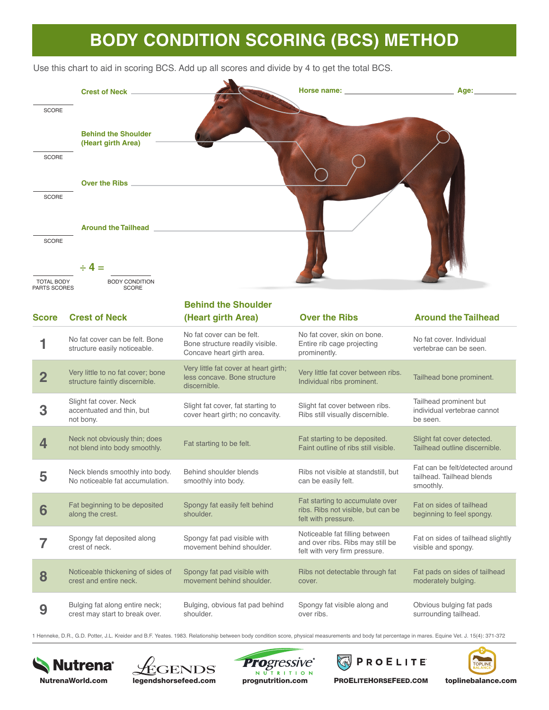## **BODY CONDITION SCORING (BCS) METHOD**

Use this chart to aid in scoring BCS. Add up all scores and divide by 4 to get the total BCS.



1 Henneke, D.R., G.D. Potter, J.L. Kreider and B.F. Yeates. 1983. Relationship between body condition score, physical measurements and body fat percentage in mares. Equine Vet. J. 15(4): 371-372